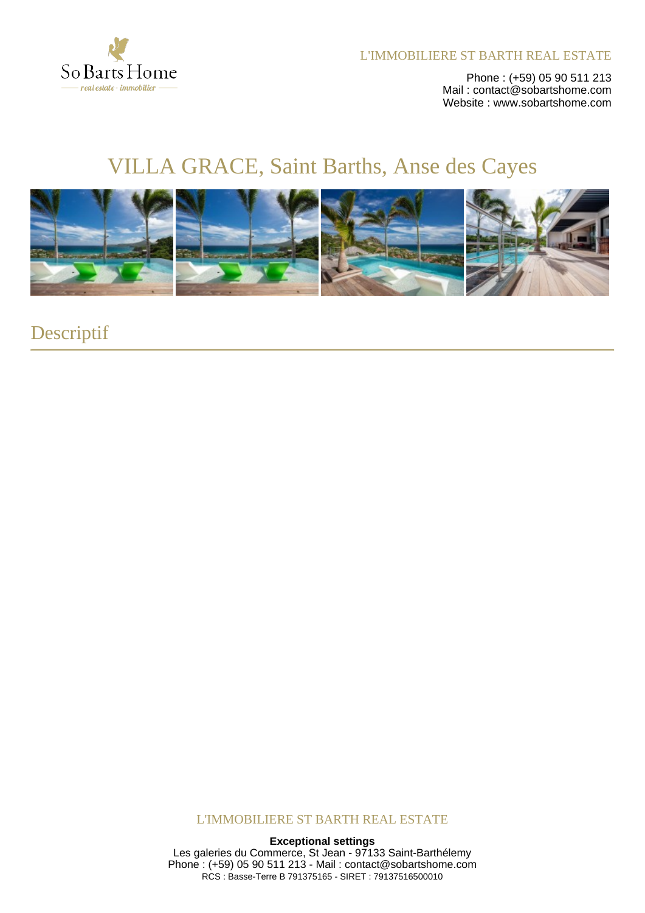

L'IMMOBILIERE ST BARTH REAL ESTATE

Phone : (+59) 05 90 511 213 Mail : contact@sobartshome.com Website : www.sobartshome.com

# VILLA GRACE, Saint Barths, Anse des Cayes



Descriptif

L'IMMOBILIERE ST BARTH REAL ESTATE

#### **Exceptional settings**

Les galeries du Commerce, St Jean - 97133 Saint-Barthélemy Phone : (+59) 05 90 511 213 - Mail : contact@sobartshome.com RCS : Basse-Terre B 791375165 - SIRET : 79137516500010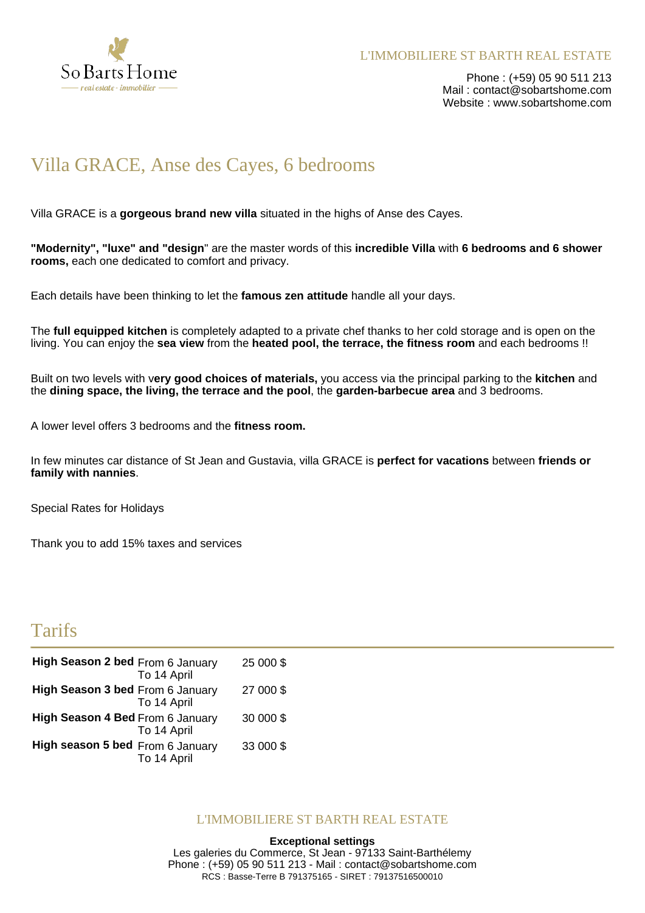

Phone : (+59) 05 90 511 213 Mail: contact@sobartshome.com Website : www.sobartshome.com

# Villa GRACE, Anse des Cayes, 6 bedrooms

Villa GRACE is a **gorgeous brand new villa** situated in the highs of Anse des Cayes.

**"Modernity", "luxe" and "design**" are the master words of this **incredible Villa** with **6 bedrooms and 6 shower rooms,** each one dedicated to comfort and privacy.

Each details have been thinking to let the **famous zen attitude** handle all your days.

The **full equipped kitchen** is completely adapted to a private chef thanks to her cold storage and is open on the living. You can enjoy the **sea view** from the **heated pool, the terrace, the fitness room** and each bedrooms !!

Built on two levels with v**ery good choices of materials,** you access via the principal parking to the **kitchen** and the **dining space, the living, the terrace and the pool**, the **garden-barbecue area** and 3 bedrooms.

A lower level offers 3 bedrooms and the **fitness room.**

In few minutes car distance of St Jean and Gustavia, villa GRACE is **perfect for vacations** between **friends or family with nannies**.

Special Rates for Holidays

Thank you to add 15% taxes and services

# Tarifs

| High Season 2 bed From 6 January | To 14 April | 25 000 \$ |
|----------------------------------|-------------|-----------|
| High Season 3 bed From 6 January | To 14 April | 27 000 \$ |
| High Season 4 Bed From 6 January | To 14 April | 30 000 \$ |
| High season 5 bed From 6 January | To 14 April | 33 000 \$ |

#### L'IMMOBILIERE ST BARTH REAL ESTATE

#### **Exceptional settings**

Les galeries du Commerce, St Jean - 97133 Saint-Barthélemy Phone : (+59) 05 90 511 213 - Mail : contact@sobartshome.com RCS : Basse-Terre B 791375165 - SIRET : 79137516500010